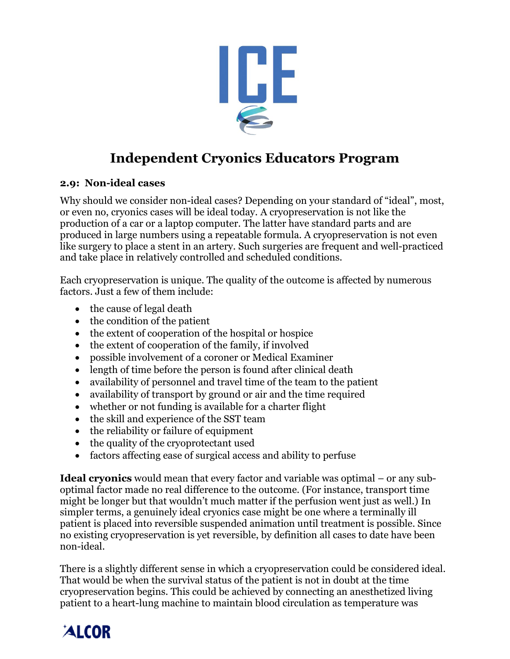

# **Independent Cryonics Educators Program**

### **2.9: Non-ideal cases**

Why should we consider non-ideal cases? Depending on your standard of "ideal", most, or even no, cryonics cases will be ideal today. A cryopreservation is not like the production of a car or a laptop computer. The latter have standard parts and are produced in large numbers using a repeatable formula. A cryopreservation is not even like surgery to place a stent in an artery. Such surgeries are frequent and well-practiced and take place in relatively controlled and scheduled conditions.

Each cryopreservation is unique. The quality of the outcome is affected by numerous factors. Just a few of them include:

- the cause of legal death
- the condition of the patient
- the extent of cooperation of the hospital or hospice
- the extent of cooperation of the family, if involved
- possible involvement of a coroner or Medical Examiner
- length of time before the person is found after clinical death
- availability of personnel and travel time of the team to the patient
- availability of transport by ground or air and the time required
- whether or not funding is available for a charter flight
- the skill and experience of the SST team
- the reliability or failure of equipment
- the quality of the cryoprotectant used
- factors affecting ease of surgical access and ability to perfuse

**Ideal cryonics** would mean that every factor and variable was optimal – or any suboptimal factor made no real difference to the outcome. (For instance, transport time might be longer but that wouldn't much matter if the perfusion went just as well.) In simpler terms, a genuinely ideal cryonics case might be one where a terminally ill patient is placed into reversible suspended animation until treatment is possible. Since no existing cryopreservation is yet reversible, by definition all cases to date have been non-ideal.

There is a slightly different sense in which a cryopreservation could be considered ideal. That would be when the survival status of the patient is not in doubt at the time cryopreservation begins. This could be achieved by connecting an anesthetized living patient to a heart-lung machine to maintain blood circulation as temperature was

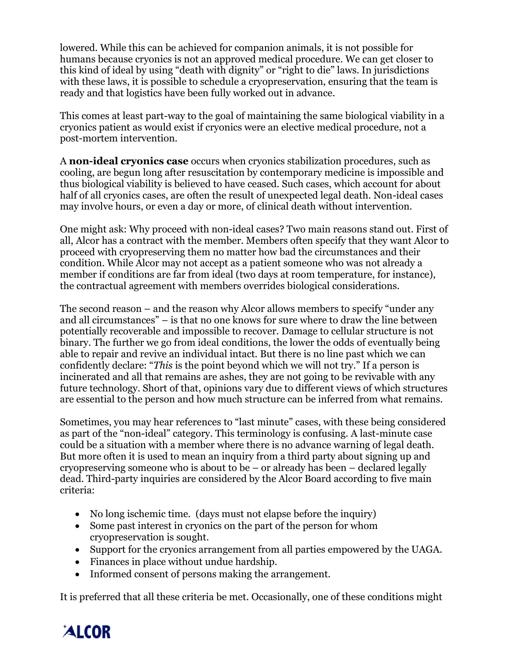lowered. While this can be achieved for companion animals, it is not possible for humans because cryonics is not an approved medical procedure. We can get closer to this kind of ideal by using "death with dignity" or "right to die" laws. In jurisdictions with these laws, it is possible to schedule a cryopreservation, ensuring that the team is ready and that logistics have been fully worked out in advance.

This comes at least part-way to the goal of maintaining the same biological viability in a cryonics patient as would exist if cryonics were an elective medical procedure, not a post-mortem intervention.

A **non-ideal cryonics case** occurs when cryonics stabilization procedures, such as cooling, are begun long after resuscitation by contemporary medicine is impossible and thus biological viability is believed to have ceased. Such cases, which account for about half of all cryonics cases, are often the result of unexpected legal death. Non-ideal cases may involve hours, or even a day or more, of clinical death without intervention.

One might ask: Why proceed with non-ideal cases? Two main reasons stand out. First of all, Alcor has a contract with the member. Members often specify that they want Alcor to proceed with cryopreserving them no matter how bad the circumstances and their condition. While Alcor may not accept as a patient someone who was not already a member if conditions are far from ideal (two days at room temperature, for instance), the contractual agreement with members overrides biological considerations.

The second reason – and the reason why Alcor allows members to specify "under any and all circumstances" – is that no one knows for sure where to draw the line between potentially recoverable and impossible to recover. Damage to cellular structure is not binary. The further we go from ideal conditions, the lower the odds of eventually being able to repair and revive an individual intact. But there is no line past which we can confidently declare: "*This* is the point beyond which we will not try." If a person is incinerated and all that remains are ashes, they are not going to be revivable with any future technology. Short of that, opinions vary due to different views of which structures are essential to the person and how much structure can be inferred from what remains.

Sometimes, you may hear references to "last minute" cases, with these being considered as part of the "non-ideal" category. This terminology is confusing. A last-minute case could be a situation with a member where there is no advance warning of legal death. But more often it is used to mean an inquiry from a third party about signing up and cryopreserving someone who is about to be  $-$  or already has been  $-$  declared legally dead. Third-party inquiries are considered by the Alcor Board according to five main criteria:

- No long ischemic time. (days must not elapse before the inquiry)
- Some past interest in cryonics on the part of the person for whom cryopreservation is sought.
- Support for the cryonics arrangement from all parties empowered by the UAGA.
- Finances in place without undue hardship.
- Informed consent of persons making the arrangement.

It is preferred that all these criteria be met. Occasionally, one of these conditions might